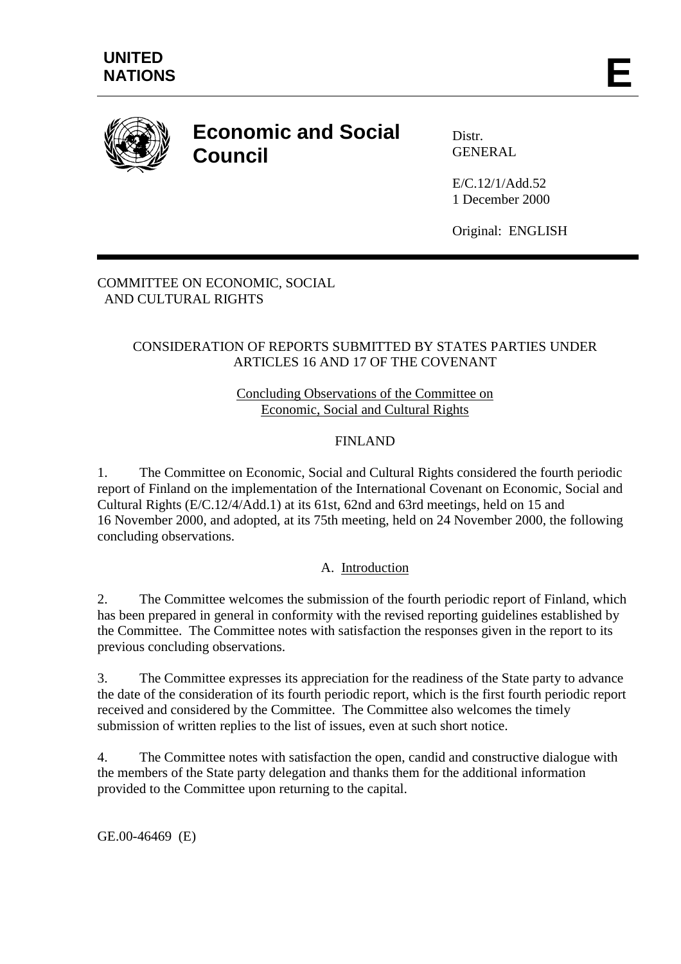

# **Economic and Social Council**

Distr. GENERAL

E/C.12/1/Add.52 1 December 2000

Original: ENGLISH

#### COMMITTEE ON ECONOMIC, SOCIAL AND CULTURAL RIGHTS

# CONSIDERATION OF REPORTS SUBMITTED BY STATES PARTIES UNDER ARTICLES 16 AND 17 OF THE COVENANT

### Concluding Observations of the Committee on Economic, Social and Cultural Rights

# FINLAND

1. The Committee on Economic, Social and Cultural Rights considered the fourth periodic report of Finland on the implementation of the International Covenant on Economic, Social and Cultural Rights (E/C.12/4/Add.1) at its 61st, 62nd and 63rd meetings, held on 15 and 16 November 2000, and adopted, at its 75th meeting, held on 24 November 2000, the following concluding observations.

#### A. Introduction

2. The Committee welcomes the submission of the fourth periodic report of Finland, which has been prepared in general in conformity with the revised reporting guidelines established by the Committee. The Committee notes with satisfaction the responses given in the report to its previous concluding observations.

3. The Committee expresses its appreciation for the readiness of the State party to advance the date of the consideration of its fourth periodic report, which is the first fourth periodic report received and considered by the Committee. The Committee also welcomes the timely submission of written replies to the list of issues, even at such short notice.

4. The Committee notes with satisfaction the open, candid and constructive dialogue with the members of the State party delegation and thanks them for the additional information provided to the Committee upon returning to the capital.

GE.00-46469 (E)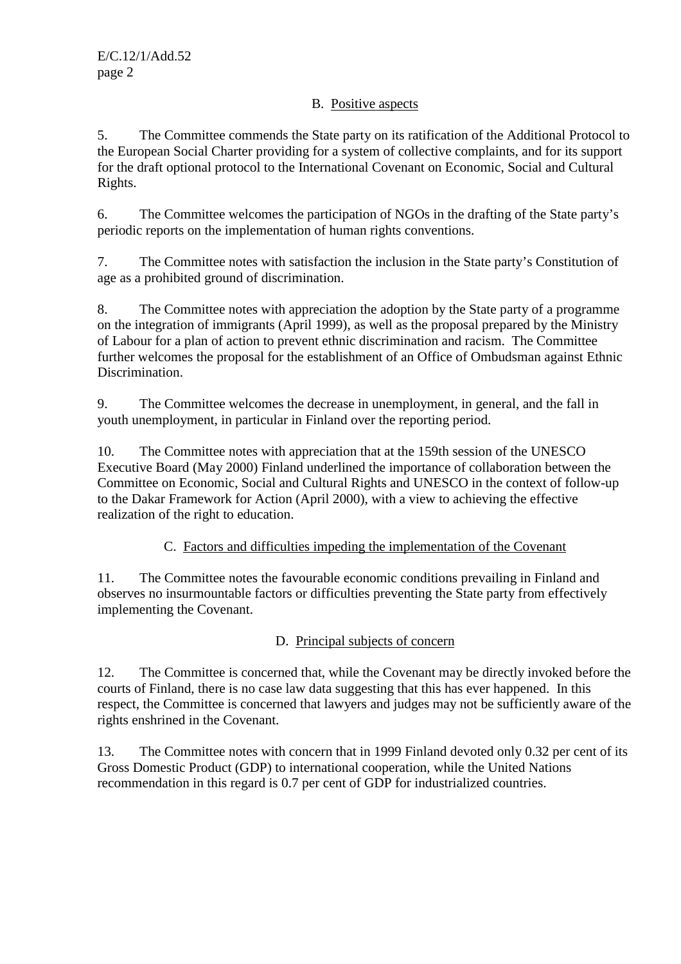### B. Positive aspects

5. The Committee commends the State party on its ratification of the Additional Protocol to the European Social Charter providing for a system of collective complaints, and for its support for the draft optional protocol to the International Covenant on Economic, Social and Cultural Rights.

6. The Committee welcomes the participation of NGOs in the drafting of the State party's periodic reports on the implementation of human rights conventions.

7. The Committee notes with satisfaction the inclusion in the State party's Constitution of age as a prohibited ground of discrimination.

8. The Committee notes with appreciation the adoption by the State party of a programme on the integration of immigrants (April 1999), as well as the proposal prepared by the Ministry of Labour for a plan of action to prevent ethnic discrimination and racism. The Committee further welcomes the proposal for the establishment of an Office of Ombudsman against Ethnic Discrimination.

9. The Committee welcomes the decrease in unemployment, in general, and the fall in youth unemployment, in particular in Finland over the reporting period.

10. The Committee notes with appreciation that at the 159th session of the UNESCO Executive Board (May 2000) Finland underlined the importance of collaboration between the Committee on Economic, Social and Cultural Rights and UNESCO in the context of follow-up to the Dakar Framework for Action (April 2000), with a view to achieving the effective realization of the right to education.

C. Factors and difficulties impeding the implementation of the Covenant

11. The Committee notes the favourable economic conditions prevailing in Finland and observes no insurmountable factors or difficulties preventing the State party from effectively implementing the Covenant.

D. Principal subjects of concern

12. The Committee is concerned that, while the Covenant may be directly invoked before the courts of Finland, there is no case law data suggesting that this has ever happened. In this respect, the Committee is concerned that lawyers and judges may not be sufficiently aware of the rights enshrined in the Covenant.

13. The Committee notes with concern that in 1999 Finland devoted only 0.32 per cent of its Gross Domestic Product (GDP) to international cooperation, while the United Nations recommendation in this regard is 0.7 per cent of GDP for industrialized countries.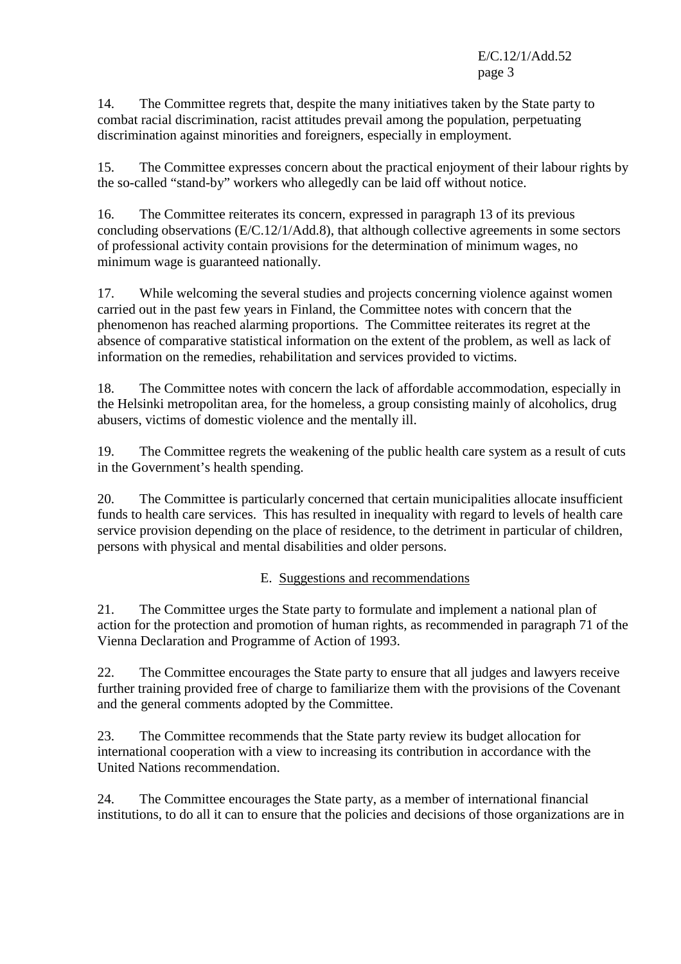14. The Committee regrets that, despite the many initiatives taken by the State party to combat racial discrimination, racist attitudes prevail among the population, perpetuating discrimination against minorities and foreigners, especially in employment.

15. The Committee expresses concern about the practical enjoyment of their labour rights by the so-called "stand-by" workers who allegedly can be laid off without notice.

16. The Committee reiterates its concern, expressed in paragraph 13 of its previous concluding observations (E/C.12/1/Add.8), that although collective agreements in some sectors of professional activity contain provisions for the determination of minimum wages, no minimum wage is guaranteed nationally.

17. While welcoming the several studies and projects concerning violence against women carried out in the past few years in Finland, the Committee notes with concern that the phenomenon has reached alarming proportions. The Committee reiterates its regret at the absence of comparative statistical information on the extent of the problem, as well as lack of information on the remedies, rehabilitation and services provided to victims.

18. The Committee notes with concern the lack of affordable accommodation, especially in the Helsinki metropolitan area, for the homeless, a group consisting mainly of alcoholics, drug abusers, victims of domestic violence and the mentally ill.

19. The Committee regrets the weakening of the public health care system as a result of cuts in the Government's health spending.

20. The Committee is particularly concerned that certain municipalities allocate insufficient funds to health care services. This has resulted in inequality with regard to levels of health care service provision depending on the place of residence, to the detriment in particular of children, persons with physical and mental disabilities and older persons.

# E. Suggestions and recommendations

21. The Committee urges the State party to formulate and implement a national plan of action for the protection and promotion of human rights, as recommended in paragraph 71 of the Vienna Declaration and Programme of Action of 1993.

22. The Committee encourages the State party to ensure that all judges and lawyers receive further training provided free of charge to familiarize them with the provisions of the Covenant and the general comments adopted by the Committee.

23. The Committee recommends that the State party review its budget allocation for international cooperation with a view to increasing its contribution in accordance with the United Nations recommendation.

24. The Committee encourages the State party, as a member of international financial institutions, to do all it can to ensure that the policies and decisions of those organizations are in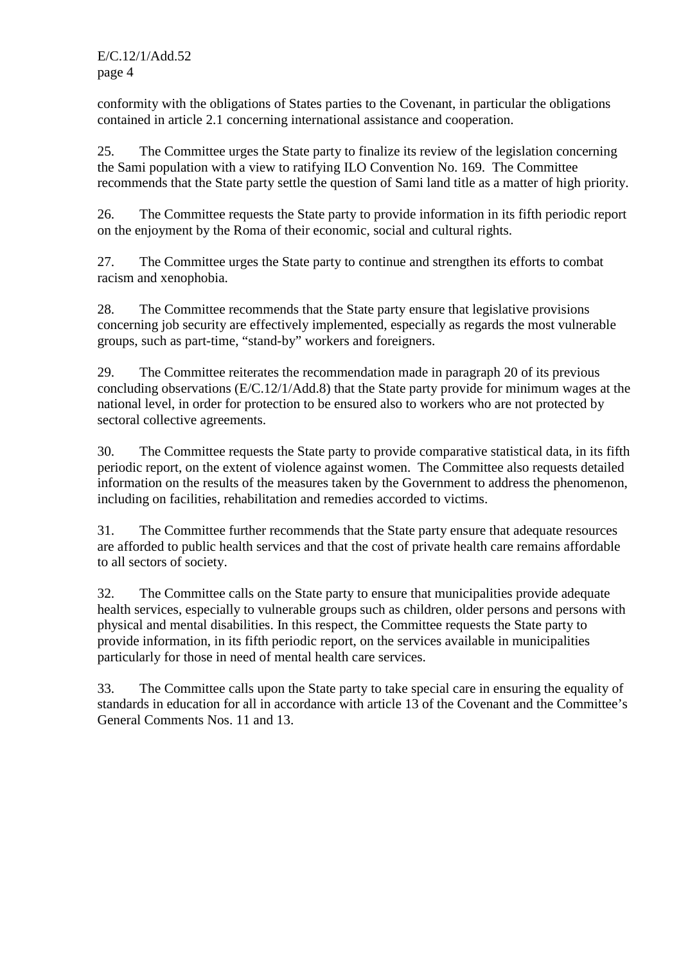conformity with the obligations of States parties to the Covenant, in particular the obligations contained in article 2.1 concerning international assistance and cooperation.

25. The Committee urges the State party to finalize its review of the legislation concerning the Sami population with a view to ratifying ILO Convention No. 169. The Committee recommends that the State party settle the question of Sami land title as a matter of high priority.

26. The Committee requests the State party to provide information in its fifth periodic report on the enjoyment by the Roma of their economic, social and cultural rights.

27. The Committee urges the State party to continue and strengthen its efforts to combat racism and xenophobia.

28. The Committee recommends that the State party ensure that legislative provisions concerning job security are effectively implemented, especially as regards the most vulnerable groups, such as part-time, "stand-by" workers and foreigners.

29. The Committee reiterates the recommendation made in paragraph 20 of its previous concluding observations (E/C.12/1/Add.8) that the State party provide for minimum wages at the national level, in order for protection to be ensured also to workers who are not protected by sectoral collective agreements.

30. The Committee requests the State party to provide comparative statistical data, in its fifth periodic report, on the extent of violence against women. The Committee also requests detailed information on the results of the measures taken by the Government to address the phenomenon, including on facilities, rehabilitation and remedies accorded to victims.

31. The Committee further recommends that the State party ensure that adequate resources are afforded to public health services and that the cost of private health care remains affordable to all sectors of society.

32. The Committee calls on the State party to ensure that municipalities provide adequate health services, especially to vulnerable groups such as children, older persons and persons with physical and mental disabilities. In this respect, the Committee requests the State party to provide information, in its fifth periodic report, on the services available in municipalities particularly for those in need of mental health care services.

33. The Committee calls upon the State party to take special care in ensuring the equality of standards in education for all in accordance with article 13 of the Covenant and the Committee's General Comments Nos. 11 and 13.